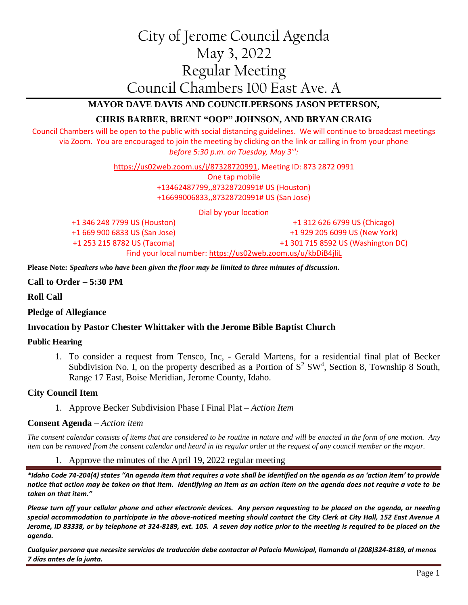# City of Jerome Council Agenda May 3, 2022 Regular Meeting Council Chambers 100 East Ave. A

# **MAYOR DAVE DAVIS AND COUNCILPERSONS JASON PETERSON,**

# **CHRIS BARBER, BRENT "OOP" JOHNSON, AND BRYAN CRAIG**

Council Chambers will be open to the public with social distancing guidelines. We will continue to broadcast meetings via Zoom. You are encouraged to join the meeting by clicking on the link or calling in from your phone *before 5:30 p.m. on Tuesday, May 3rd:*

[https://us02web.zoom.us/j/87328720991,](https://us02web.zoom.us/j/87328720991) Meeting ID: 873 2872 0991

One tap mobile +13462487799,,87328720991# US (Houston) +16699006833,,87328720991# US (San Jose)

Dial by your location

+1 346 248 7799 US (Houston) +1 669 900 6833 US (San Jose) +1 253 215 8782 US (Tacoma)

+1 312 626 6799 US (Chicago) +1 929 205 6099 US (New York) +1 301 715 8592 US (Washington DC)

Find your local number[: https://us02web.zoom.us/u/kbDiB4jliL](https://us02web.zoom.us/u/kbDiB4jliL)

**Please Note:** *Speakers who have been given the floor may be limited to three minutes of discussion.*

**Call to Order – 5:30 PM**

**Roll Call**

#### **Pledge of Allegiance**

## **Invocation by Pastor Chester Whittaker with the Jerome Bible Baptist Church**

#### **Public Hearing**

1. To consider a request from Tensco, Inc, - Gerald Martens, for a residential final plat of Becker Subdivision No. I, on the property described as a Portion of  $S^2$  SW<sup>4</sup>, Section 8, Township 8 South, Range 17 East, Boise Meridian, Jerome County, Idaho.

## **City Council Item**

1. Approve Becker Subdivision Phase I Final Plat – *Action Item*

#### **Consent Agenda –** *Action item*

*The consent calendar consists of items that are considered to be routine in nature and will be enacted in the form of one motion. Any item can be removed from the consent calendar and heard in its regular order at the request of any council member or the mayor.*

1. Approve the minutes of the April 19, 2022 regular meeting

*\*Idaho Code 74-204(4) states "An agenda item that requires a vote shall be identified on the agenda as an 'action item' to provide notice that action may be taken on that item. Identifying an item as an action item on the agenda does not require a vote to be taken on that item."*

*Please turn off your cellular phone and other electronic devices. Any person requesting to be placed on the agenda, or needing special accommodation to participate in the above-noticed meeting should contact the City Clerk at City Hall, 152 East Avenue A Jerome, ID 83338, or by telephone at 324-8189, ext. 105. A seven day notice prior to the meeting is required to be placed on the agenda.* 

*Cualquier persona que necesite servicios de traducción debe contactar al Palacio Municipal, llamando al (208)324-8189, al menos 7 días antes de la junta.*